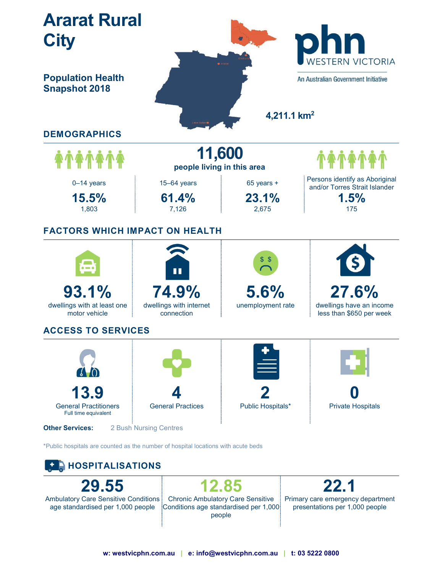

Ambulatory Care Sensitive Conditions age standardised per 1,000 people

Chronic Ambulatory Care Sensitive Conditions age standardised per 1,000 people

Primary care emergency department presentations per 1,000 people